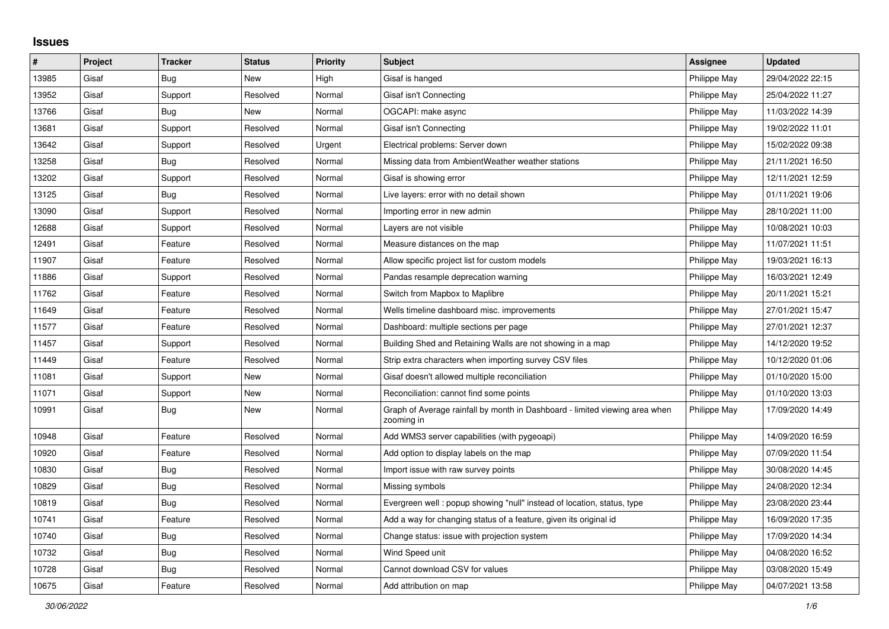## **Issues**

| #     | Project | <b>Tracker</b> | <b>Status</b> | <b>Priority</b> | <b>Subject</b>                                                                            | <b>Assignee</b> | <b>Updated</b>   |
|-------|---------|----------------|---------------|-----------------|-------------------------------------------------------------------------------------------|-----------------|------------------|
| 13985 | Gisaf   | Bug            | New           | High            | Gisaf is hanged                                                                           | Philippe May    | 29/04/2022 22:15 |
| 13952 | Gisaf   | Support        | Resolved      | Normal          | Gisaf isn't Connecting                                                                    | Philippe May    | 25/04/2022 11:27 |
| 13766 | Gisaf   | Bug            | <b>New</b>    | Normal          | OGCAPI: make async                                                                        | Philippe May    | 11/03/2022 14:39 |
| 13681 | Gisaf   | Support        | Resolved      | Normal          | Gisaf isn't Connecting                                                                    | Philippe May    | 19/02/2022 11:01 |
| 13642 | Gisaf   | Support        | Resolved      | Urgent          | Electrical problems: Server down                                                          | Philippe May    | 15/02/2022 09:38 |
| 13258 | Gisaf   | Bug            | Resolved      | Normal          | Missing data from Ambient Weather weather stations                                        | Philippe May    | 21/11/2021 16:50 |
| 13202 | Gisaf   | Support        | Resolved      | Normal          | Gisaf is showing error                                                                    | Philippe May    | 12/11/2021 12:59 |
| 13125 | Gisaf   | Bug            | Resolved      | Normal          | Live layers: error with no detail shown                                                   | Philippe May    | 01/11/2021 19:06 |
| 13090 | Gisaf   | Support        | Resolved      | Normal          | Importing error in new admin                                                              | Philippe May    | 28/10/2021 11:00 |
| 12688 | Gisaf   | Support        | Resolved      | Normal          | Layers are not visible                                                                    | Philippe May    | 10/08/2021 10:03 |
| 12491 | Gisaf   | Feature        | Resolved      | Normal          | Measure distances on the map                                                              | Philippe May    | 11/07/2021 11:51 |
| 11907 | Gisaf   | Feature        | Resolved      | Normal          | Allow specific project list for custom models                                             | Philippe May    | 19/03/2021 16:13 |
| 11886 | Gisaf   | Support        | Resolved      | Normal          | Pandas resample deprecation warning                                                       | Philippe May    | 16/03/2021 12:49 |
| 11762 | Gisaf   | Feature        | Resolved      | Normal          | Switch from Mapbox to Maplibre                                                            | Philippe May    | 20/11/2021 15:21 |
| 11649 | Gisaf   | Feature        | Resolved      | Normal          | Wells timeline dashboard misc. improvements                                               | Philippe May    | 27/01/2021 15:47 |
| 11577 | Gisaf   | Feature        | Resolved      | Normal          | Dashboard: multiple sections per page                                                     | Philippe May    | 27/01/2021 12:37 |
| 11457 | Gisaf   | Support        | Resolved      | Normal          | Building Shed and Retaining Walls are not showing in a map                                | Philippe May    | 14/12/2020 19:52 |
| 11449 | Gisaf   | Feature        | Resolved      | Normal          | Strip extra characters when importing survey CSV files                                    | Philippe May    | 10/12/2020 01:06 |
| 11081 | Gisaf   | Support        | New           | Normal          | Gisaf doesn't allowed multiple reconciliation                                             | Philippe May    | 01/10/2020 15:00 |
| 11071 | Gisaf   | Support        | New           | Normal          | Reconciliation: cannot find some points                                                   | Philippe May    | 01/10/2020 13:03 |
| 10991 | Gisaf   | Bug            | <b>New</b>    | Normal          | Graph of Average rainfall by month in Dashboard - limited viewing area when<br>zooming in | Philippe May    | 17/09/2020 14:49 |
| 10948 | Gisaf   | Feature        | Resolved      | Normal          | Add WMS3 server capabilities (with pygeoapi)                                              | Philippe May    | 14/09/2020 16:59 |
| 10920 | Gisaf   | Feature        | Resolved      | Normal          | Add option to display labels on the map                                                   | Philippe May    | 07/09/2020 11:54 |
| 10830 | Gisaf   | Bug            | Resolved      | Normal          | Import issue with raw survey points                                                       | Philippe May    | 30/08/2020 14:45 |
| 10829 | Gisaf   | Bug            | Resolved      | Normal          | Missing symbols                                                                           | Philippe May    | 24/08/2020 12:34 |
| 10819 | Gisaf   | Bug            | Resolved      | Normal          | Evergreen well: popup showing "null" instead of location, status, type                    | Philippe May    | 23/08/2020 23:44 |
| 10741 | Gisaf   | Feature        | Resolved      | Normal          | Add a way for changing status of a feature, given its original id                         | Philippe May    | 16/09/2020 17:35 |
| 10740 | Gisaf   | Bug            | Resolved      | Normal          | Change status: issue with projection system                                               | Philippe May    | 17/09/2020 14:34 |
| 10732 | Gisaf   | Bug            | Resolved      | Normal          | Wind Speed unit                                                                           | Philippe May    | 04/08/2020 16:52 |
| 10728 | Gisaf   | Bug            | Resolved      | Normal          | Cannot download CSV for values                                                            | Philippe May    | 03/08/2020 15:49 |
| 10675 | Gisaf   | Feature        | Resolved      | Normal          | Add attribution on map                                                                    | Philippe May    | 04/07/2021 13:58 |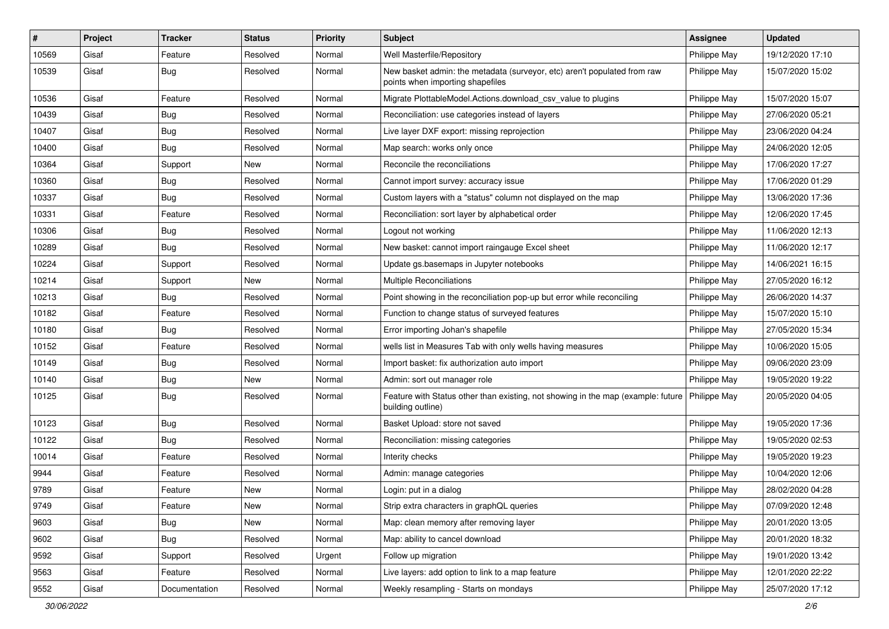| #     | Project | <b>Tracker</b> | <b>Status</b> | <b>Priority</b> | <b>Subject</b>                                                                                               | <b>Assignee</b> | <b>Updated</b>   |
|-------|---------|----------------|---------------|-----------------|--------------------------------------------------------------------------------------------------------------|-----------------|------------------|
| 10569 | Gisaf   | Feature        | Resolved      | Normal          | Well Masterfile/Repository                                                                                   | Philippe May    | 19/12/2020 17:10 |
| 10539 | Gisaf   | Bug            | Resolved      | Normal          | New basket admin: the metadata (surveyor, etc) aren't populated from raw<br>points when importing shapefiles | Philippe May    | 15/07/2020 15:02 |
| 10536 | Gisaf   | Feature        | Resolved      | Normal          | Migrate PlottableModel.Actions.download_csv_value to plugins                                                 | Philippe May    | 15/07/2020 15:07 |
| 10439 | Gisaf   | Bug            | Resolved      | Normal          | Reconciliation: use categories instead of layers                                                             | Philippe May    | 27/06/2020 05:21 |
| 10407 | Gisaf   | <b>Bug</b>     | Resolved      | Normal          | Live layer DXF export: missing reprojection                                                                  | Philippe May    | 23/06/2020 04:24 |
| 10400 | Gisaf   | Bug            | Resolved      | Normal          | Map search: works only once                                                                                  | Philippe May    | 24/06/2020 12:05 |
| 10364 | Gisaf   | Support        | New           | Normal          | Reconcile the reconciliations                                                                                | Philippe May    | 17/06/2020 17:27 |
| 10360 | Gisaf   | <b>Bug</b>     | Resolved      | Normal          | Cannot import survey: accuracy issue                                                                         | Philippe May    | 17/06/2020 01:29 |
| 10337 | Gisaf   | Bug            | Resolved      | Normal          | Custom layers with a "status" column not displayed on the map                                                | Philippe May    | 13/06/2020 17:36 |
| 10331 | Gisaf   | Feature        | Resolved      | Normal          | Reconciliation: sort layer by alphabetical order                                                             | Philippe May    | 12/06/2020 17:45 |
| 10306 | Gisaf   | <b>Bug</b>     | Resolved      | Normal          | Logout not working                                                                                           | Philippe May    | 11/06/2020 12:13 |
| 10289 | Gisaf   | Bug            | Resolved      | Normal          | New basket: cannot import raingauge Excel sheet                                                              | Philippe May    | 11/06/2020 12:17 |
| 10224 | Gisaf   | Support        | Resolved      | Normal          | Update gs.basemaps in Jupyter notebooks                                                                      | Philippe May    | 14/06/2021 16:15 |
| 10214 | Gisaf   | Support        | New           | Normal          | Multiple Reconciliations                                                                                     | Philippe May    | 27/05/2020 16:12 |
| 10213 | Gisaf   | Bug            | Resolved      | Normal          | Point showing in the reconciliation pop-up but error while reconciling                                       | Philippe May    | 26/06/2020 14:37 |
| 10182 | Gisaf   | Feature        | Resolved      | Normal          | Function to change status of surveyed features                                                               | Philippe May    | 15/07/2020 15:10 |
| 10180 | Gisaf   | Bug            | Resolved      | Normal          | Error importing Johan's shapefile                                                                            | Philippe May    | 27/05/2020 15:34 |
| 10152 | Gisaf   | Feature        | Resolved      | Normal          | wells list in Measures Tab with only wells having measures                                                   | Philippe May    | 10/06/2020 15:05 |
| 10149 | Gisaf   | Bug            | Resolved      | Normal          | Import basket: fix authorization auto import                                                                 | Philippe May    | 09/06/2020 23:09 |
| 10140 | Gisaf   | Bug            | New           | Normal          | Admin: sort out manager role                                                                                 | Philippe May    | 19/05/2020 19:22 |
| 10125 | Gisaf   | Bug            | Resolved      | Normal          | Feature with Status other than existing, not showing in the map (example: future<br>building outline)        | Philippe May    | 20/05/2020 04:05 |
| 10123 | Gisaf   | Bug            | Resolved      | Normal          | Basket Upload: store not saved                                                                               | Philippe May    | 19/05/2020 17:36 |
| 10122 | Gisaf   | <b>Bug</b>     | Resolved      | Normal          | Reconciliation: missing categories                                                                           | Philippe May    | 19/05/2020 02:53 |
| 10014 | Gisaf   | Feature        | Resolved      | Normal          | Interity checks                                                                                              | Philippe May    | 19/05/2020 19:23 |
| 9944  | Gisaf   | Feature        | Resolved      | Normal          | Admin: manage categories                                                                                     | Philippe May    | 10/04/2020 12:06 |
| 9789  | Gisaf   | Feature        | New           | Normal          | Login: put in a dialog                                                                                       | Philippe May    | 28/02/2020 04:28 |
| 9749  | Gisaf   | Feature        | New           | Normal          | Strip extra characters in graphQL queries                                                                    | Philippe May    | 07/09/2020 12:48 |
| 9603  | Gisaf   | <b>Bug</b>     | New           | Normal          | Map: clean memory after removing layer                                                                       | Philippe May    | 20/01/2020 13:05 |
| 9602  | Gisaf   | Bug            | Resolved      | Normal          | Map: ability to cancel download                                                                              | Philippe May    | 20/01/2020 18:32 |
| 9592  | Gisaf   | Support        | Resolved      | Urgent          | Follow up migration                                                                                          | Philippe May    | 19/01/2020 13:42 |
| 9563  | Gisaf   | Feature        | Resolved      | Normal          | Live layers: add option to link to a map feature                                                             | Philippe May    | 12/01/2020 22:22 |
| 9552  | Gisaf   | Documentation  | Resolved      | Normal          | Weekly resampling - Starts on mondays                                                                        | Philippe May    | 25/07/2020 17:12 |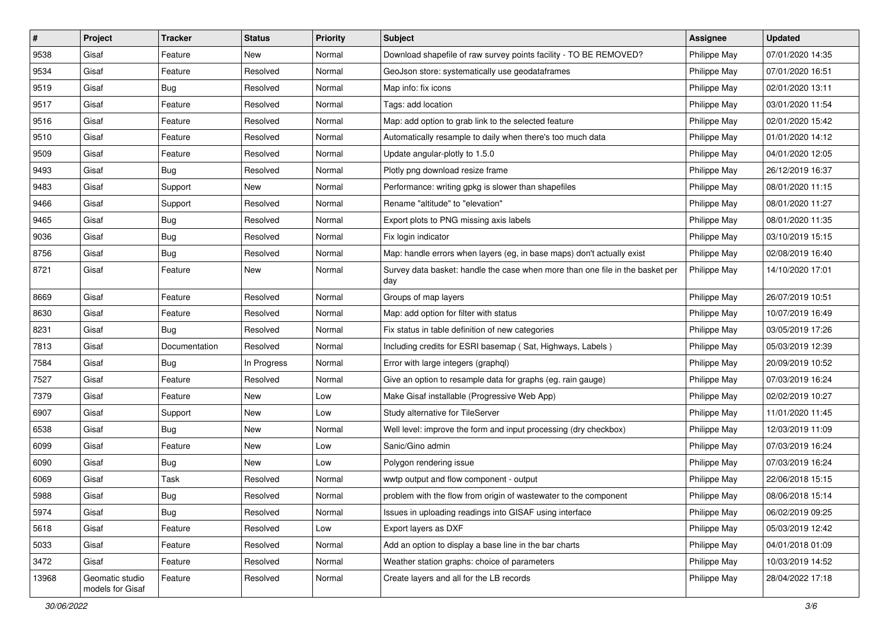| $\sharp$ | Project                             | <b>Tracker</b> | <b>Status</b> | Priority | <b>Subject</b>                                                                       | <b>Assignee</b> | <b>Updated</b>   |
|----------|-------------------------------------|----------------|---------------|----------|--------------------------------------------------------------------------------------|-----------------|------------------|
| 9538     | Gisaf                               | Feature        | New           | Normal   | Download shapefile of raw survey points facility - TO BE REMOVED?                    | Philippe May    | 07/01/2020 14:35 |
| 9534     | Gisaf                               | Feature        | Resolved      | Normal   | GeoJson store: systematically use geodataframes                                      | Philippe May    | 07/01/2020 16:51 |
| 9519     | Gisaf                               | <b>Bug</b>     | Resolved      | Normal   | Map info: fix icons                                                                  | Philippe May    | 02/01/2020 13:11 |
| 9517     | Gisaf                               | Feature        | Resolved      | Normal   | Tags: add location                                                                   | Philippe May    | 03/01/2020 11:54 |
| 9516     | Gisaf                               | Feature        | Resolved      | Normal   | Map: add option to grab link to the selected feature                                 | Philippe May    | 02/01/2020 15:42 |
| 9510     | Gisaf                               | Feature        | Resolved      | Normal   | Automatically resample to daily when there's too much data                           | Philippe May    | 01/01/2020 14:12 |
| 9509     | Gisaf                               | Feature        | Resolved      | Normal   | Update angular-plotly to 1.5.0                                                       | Philippe May    | 04/01/2020 12:05 |
| 9493     | Gisaf                               | Bug            | Resolved      | Normal   | Plotly png download resize frame                                                     | Philippe May    | 26/12/2019 16:37 |
| 9483     | Gisaf                               | Support        | New           | Normal   | Performance: writing gpkg is slower than shapefiles                                  | Philippe May    | 08/01/2020 11:15 |
| 9466     | Gisaf                               | Support        | Resolved      | Normal   | Rename "altitude" to "elevation"                                                     | Philippe May    | 08/01/2020 11:27 |
| 9465     | Gisaf                               | <b>Bug</b>     | Resolved      | Normal   | Export plots to PNG missing axis labels                                              | Philippe May    | 08/01/2020 11:35 |
| 9036     | Gisaf                               | <b>Bug</b>     | Resolved      | Normal   | Fix login indicator                                                                  | Philippe May    | 03/10/2019 15:15 |
| 8756     | Gisaf                               | Bug            | Resolved      | Normal   | Map: handle errors when layers (eg, in base maps) don't actually exist               | Philippe May    | 02/08/2019 16:40 |
| 8721     | Gisaf                               | Feature        | New           | Normal   | Survey data basket: handle the case when more than one file in the basket per<br>day | Philippe May    | 14/10/2020 17:01 |
| 8669     | Gisaf                               | Feature        | Resolved      | Normal   | Groups of map layers                                                                 | Philippe May    | 26/07/2019 10:51 |
| 8630     | Gisaf                               | Feature        | Resolved      | Normal   | Map: add option for filter with status                                               | Philippe May    | 10/07/2019 16:49 |
| 8231     | Gisaf                               | <b>Bug</b>     | Resolved      | Normal   | Fix status in table definition of new categories                                     | Philippe May    | 03/05/2019 17:26 |
| 7813     | Gisaf                               | Documentation  | Resolved      | Normal   | Including credits for ESRI basemap (Sat, Highways, Labels)                           | Philippe May    | 05/03/2019 12:39 |
| 7584     | Gisaf                               | <b>Bug</b>     | In Progress   | Normal   | Error with large integers (graphql)                                                  | Philippe May    | 20/09/2019 10:52 |
| 7527     | Gisaf                               | Feature        | Resolved      | Normal   | Give an option to resample data for graphs (eg. rain gauge)                          | Philippe May    | 07/03/2019 16:24 |
| 7379     | Gisaf                               | Feature        | New           | Low      | Make Gisaf installable (Progressive Web App)                                         | Philippe May    | 02/02/2019 10:27 |
| 6907     | Gisaf                               | Support        | New           | Low      | Study alternative for TileServer                                                     | Philippe May    | 11/01/2020 11:45 |
| 6538     | Gisaf                               | <b>Bug</b>     | New           | Normal   | Well level: improve the form and input processing (dry checkbox)                     | Philippe May    | 12/03/2019 11:09 |
| 6099     | Gisaf                               | Feature        | New           | Low      | Sanic/Gino admin                                                                     | Philippe May    | 07/03/2019 16:24 |
| 6090     | Gisaf                               | Bug            | New           | Low      | Polygon rendering issue                                                              | Philippe May    | 07/03/2019 16:24 |
| 6069     | Gisaf                               | Task           | Resolved      | Normal   | wwtp output and flow component - output                                              | Philippe May    | 22/06/2018 15:15 |
| 5988     | Gisaf                               | Bug            | Resolved      | Normal   | problem with the flow from origin of wastewater to the component                     | Philippe May    | 08/06/2018 15:14 |
| 5974     | Gisaf                               | <b>Bug</b>     | Resolved      | Normal   | Issues in uploading readings into GISAF using interface                              | Philippe May    | 06/02/2019 09:25 |
| 5618     | Gisaf                               | Feature        | Resolved      | Low      | Export layers as DXF                                                                 | Philippe May    | 05/03/2019 12:42 |
| 5033     | Gisaf                               | Feature        | Resolved      | Normal   | Add an option to display a base line in the bar charts                               | Philippe May    | 04/01/2018 01:09 |
| 3472     | Gisaf                               | Feature        | Resolved      | Normal   | Weather station graphs: choice of parameters                                         | Philippe May    | 10/03/2019 14:52 |
| 13968    | Geomatic studio<br>models for Gisaf | Feature        | Resolved      | Normal   | Create layers and all for the LB records                                             | Philippe May    | 28/04/2022 17:18 |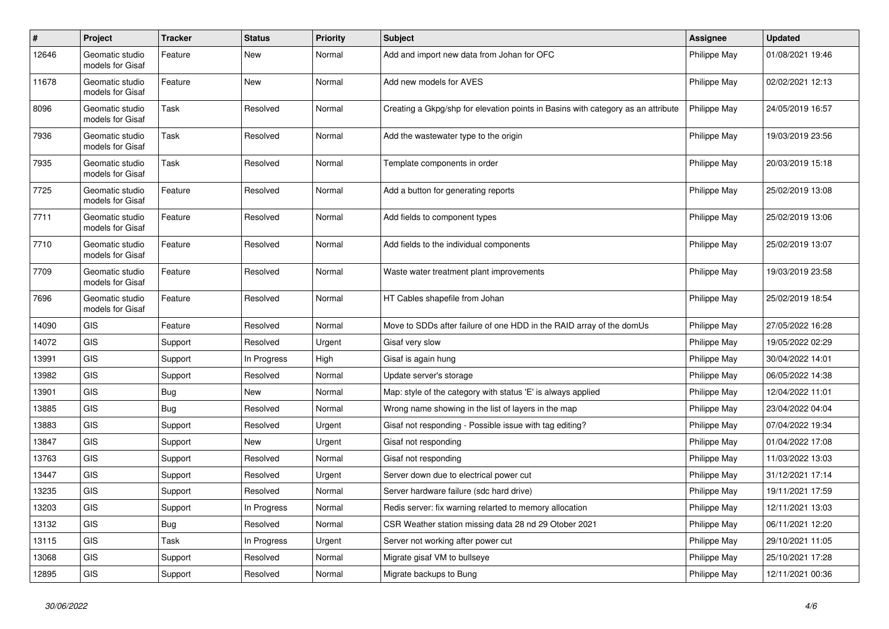| $\#$  | Project                             | <b>Tracker</b> | <b>Status</b> | <b>Priority</b> | <b>Subject</b>                                                                   | Assignee     | <b>Updated</b>   |
|-------|-------------------------------------|----------------|---------------|-----------------|----------------------------------------------------------------------------------|--------------|------------------|
| 12646 | Geomatic studio<br>models for Gisaf | Feature        | New           | Normal          | Add and import new data from Johan for OFC                                       | Philippe May | 01/08/2021 19:46 |
| 11678 | Geomatic studio<br>models for Gisaf | Feature        | <b>New</b>    | Normal          | Add new models for AVES                                                          | Philippe May | 02/02/2021 12:13 |
| 8096  | Geomatic studio<br>models for Gisaf | Task           | Resolved      | Normal          | Creating a Gkpg/shp for elevation points in Basins with category as an attribute | Philippe May | 24/05/2019 16:57 |
| 7936  | Geomatic studio<br>models for Gisaf | Task           | Resolved      | Normal          | Add the wastewater type to the origin                                            | Philippe May | 19/03/2019 23:56 |
| 7935  | Geomatic studio<br>models for Gisaf | Task           | Resolved      | Normal          | Template components in order                                                     | Philippe May | 20/03/2019 15:18 |
| 7725  | Geomatic studio<br>models for Gisaf | Feature        | Resolved      | Normal          | Add a button for generating reports                                              | Philippe May | 25/02/2019 13:08 |
| 7711  | Geomatic studio<br>models for Gisaf | Feature        | Resolved      | Normal          | Add fields to component types                                                    | Philippe May | 25/02/2019 13:06 |
| 7710  | Geomatic studio<br>models for Gisaf | Feature        | Resolved      | Normal          | Add fields to the individual components                                          | Philippe May | 25/02/2019 13:07 |
| 7709  | Geomatic studio<br>models for Gisaf | Feature        | Resolved      | Normal          | Waste water treatment plant improvements                                         | Philippe May | 19/03/2019 23:58 |
| 7696  | Geomatic studio<br>models for Gisaf | Feature        | Resolved      | Normal          | HT Cables shapefile from Johan                                                   | Philippe May | 25/02/2019 18:54 |
| 14090 | <b>GIS</b>                          | Feature        | Resolved      | Normal          | Move to SDDs after failure of one HDD in the RAID array of the domUs             | Philippe May | 27/05/2022 16:28 |
| 14072 | <b>GIS</b>                          | Support        | Resolved      | Urgent          | Gisaf very slow                                                                  | Philippe May | 19/05/2022 02:29 |
| 13991 | <b>GIS</b>                          | Support        | In Progress   | High            | Gisaf is again hung                                                              | Philippe May | 30/04/2022 14:01 |
| 13982 | <b>GIS</b>                          | Support        | Resolved      | Normal          | Update server's storage                                                          | Philippe May | 06/05/2022 14:38 |
| 13901 | GIS                                 | Bug            | New           | Normal          | Map: style of the category with status 'E' is always applied                     | Philippe May | 12/04/2022 11:01 |
| 13885 | GIS                                 | <b>Bug</b>     | Resolved      | Normal          | Wrong name showing in the list of layers in the map                              | Philippe May | 23/04/2022 04:04 |
| 13883 | <b>GIS</b>                          | Support        | Resolved      | Urgent          | Gisaf not responding - Possible issue with tag editing?                          | Philippe May | 07/04/2022 19:34 |
| 13847 | <b>GIS</b>                          | Support        | New           | Urgent          | Gisaf not responding                                                             | Philippe May | 01/04/2022 17:08 |
| 13763 | <b>GIS</b>                          | Support        | Resolved      | Normal          | Gisaf not responding                                                             | Philippe May | 11/03/2022 13:03 |
| 13447 | GIS                                 | Support        | Resolved      | Urgent          | Server down due to electrical power cut                                          | Philippe May | 31/12/2021 17:14 |
| 13235 | <b>GIS</b>                          | Support        | Resolved      | Normal          | Server hardware failure (sdc hard drive)                                         | Philippe May | 19/11/2021 17:59 |
| 13203 | <b>GIS</b>                          | Support        | In Progress   | Normal          | Redis server: fix warning relarted to memory allocation                          | Philippe May | 12/11/2021 13:03 |
| 13132 | <b>GIS</b>                          | Bug            | Resolved      | Normal          | CSR Weather station missing data 28 nd 29 Otober 2021                            | Philippe May | 06/11/2021 12:20 |
| 13115 | <b>GIS</b>                          | Task           | In Progress   | Urgent          | Server not working after power cut                                               | Philippe May | 29/10/2021 11:05 |
| 13068 | <b>GIS</b>                          | Support        | Resolved      | Normal          | Migrate gisaf VM to bullseye                                                     | Philippe May | 25/10/2021 17:28 |
| 12895 | GIS                                 | Support        | Resolved      | Normal          | Migrate backups to Bung                                                          | Philippe May | 12/11/2021 00:36 |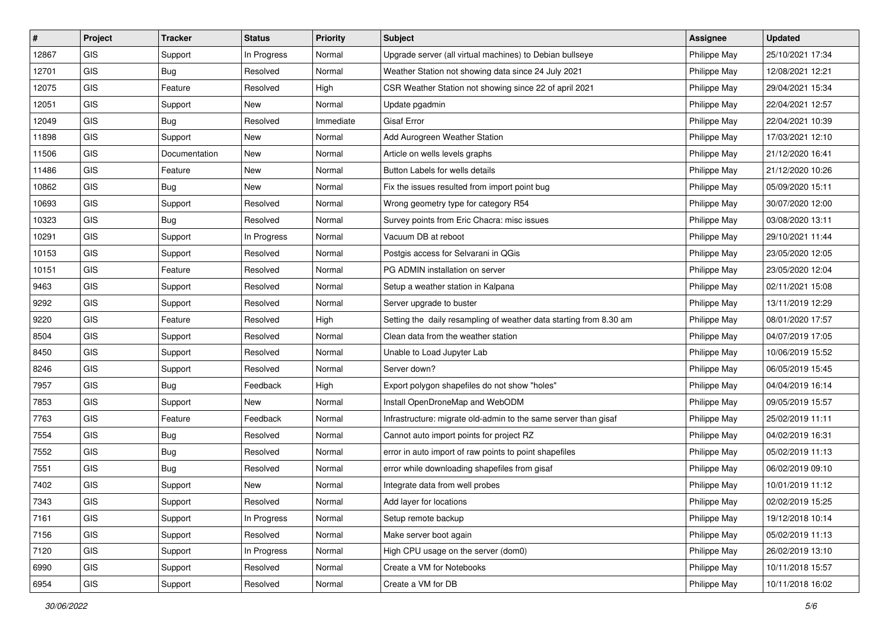| #     | Project    | <b>Tracker</b> | <b>Status</b> | Priority  | <b>Subject</b>                                                     | <b>Assignee</b> | <b>Updated</b>   |
|-------|------------|----------------|---------------|-----------|--------------------------------------------------------------------|-----------------|------------------|
| 12867 | <b>GIS</b> | Support        | In Progress   | Normal    | Upgrade server (all virtual machines) to Debian bullseye           | Philippe May    | 25/10/2021 17:34 |
| 12701 | GIS        | Bug            | Resolved      | Normal    | Weather Station not showing data since 24 July 2021                | Philippe May    | 12/08/2021 12:21 |
| 12075 | GIS        | Feature        | Resolved      | High      | CSR Weather Station not showing since 22 of april 2021             | Philippe May    | 29/04/2021 15:34 |
| 12051 | GIS        | Support        | New           | Normal    | Update pgadmin                                                     | Philippe May    | 22/04/2021 12:57 |
| 12049 | GIS        | Bug            | Resolved      | Immediate | <b>Gisaf Error</b>                                                 | Philippe May    | 22/04/2021 10:39 |
| 11898 | <b>GIS</b> | Support        | New           | Normal    | Add Aurogreen Weather Station                                      | Philippe May    | 17/03/2021 12:10 |
| 11506 | GIS        | Documentation  | New           | Normal    | Article on wells levels graphs                                     | Philippe May    | 21/12/2020 16:41 |
| 11486 | GIS        | Feature        | New           | Normal    | Button Labels for wells details                                    | Philippe May    | 21/12/2020 10:26 |
| 10862 | GIS        | Bug            | New           | Normal    | Fix the issues resulted from import point bug                      | Philippe May    | 05/09/2020 15:11 |
| 10693 | GIS        | Support        | Resolved      | Normal    | Wrong geometry type for category R54                               | Philippe May    | 30/07/2020 12:00 |
| 10323 | <b>GIS</b> | Bug            | Resolved      | Normal    | Survey points from Eric Chacra: misc issues                        | Philippe May    | 03/08/2020 13:11 |
| 10291 | GIS        | Support        | In Progress   | Normal    | Vacuum DB at reboot                                                | Philippe May    | 29/10/2021 11:44 |
| 10153 | <b>GIS</b> | Support        | Resolved      | Normal    | Postgis access for Selvarani in QGis                               | Philippe May    | 23/05/2020 12:05 |
| 10151 | GIS        | Feature        | Resolved      | Normal    | PG ADMIN installation on server                                    | Philippe May    | 23/05/2020 12:04 |
| 9463  | GIS        | Support        | Resolved      | Normal    | Setup a weather station in Kalpana                                 | Philippe May    | 02/11/2021 15:08 |
| 9292  | GIS        | Support        | Resolved      | Normal    | Server upgrade to buster                                           | Philippe May    | 13/11/2019 12:29 |
| 9220  | GIS        | Feature        | Resolved      | High      | Setting the daily resampling of weather data starting from 8.30 am | Philippe May    | 08/01/2020 17:57 |
| 8504  | GIS        | Support        | Resolved      | Normal    | Clean data from the weather station                                | Philippe May    | 04/07/2019 17:05 |
| 8450  | GIS        | Support        | Resolved      | Normal    | Unable to Load Jupyter Lab                                         | Philippe May    | 10/06/2019 15:52 |
| 8246  | GIS        | Support        | Resolved      | Normal    | Server down?                                                       | Philippe May    | 06/05/2019 15:45 |
| 7957  | GIS        | Bug            | Feedback      | High      | Export polygon shapefiles do not show "holes"                      | Philippe May    | 04/04/2019 16:14 |
| 7853  | GIS        | Support        | <b>New</b>    | Normal    | Install OpenDroneMap and WebODM                                    | Philippe May    | 09/05/2019 15:57 |
| 7763  | GIS        | Feature        | Feedback      | Normal    | Infrastructure: migrate old-admin to the same server than gisaf    | Philippe May    | 25/02/2019 11:11 |
| 7554  | <b>GIS</b> | Bug            | Resolved      | Normal    | Cannot auto import points for project RZ                           | Philippe May    | 04/02/2019 16:31 |
| 7552  | GIS        | <b>Bug</b>     | Resolved      | Normal    | error in auto import of raw points to point shapefiles             | Philippe May    | 05/02/2019 11:13 |
| 7551  | <b>GIS</b> | <b>Bug</b>     | Resolved      | Normal    | error while downloading shapefiles from gisaf                      | Philippe May    | 06/02/2019 09:10 |
| 7402  | GIS        | Support        | New           | Normal    | Integrate data from well probes                                    | Philippe May    | 10/01/2019 11:12 |
| 7343  | GIS        | Support        | Resolved      | Normal    | Add layer for locations                                            | Philippe May    | 02/02/2019 15:25 |
| 7161  | <b>GIS</b> | Support        | In Progress   | Normal    | Setup remote backup                                                | Philippe May    | 19/12/2018 10:14 |
| 7156  | GIS        | Support        | Resolved      | Normal    | Make server boot again                                             | Philippe May    | 05/02/2019 11:13 |
| 7120  | GIS        | Support        | In Progress   | Normal    | High CPU usage on the server (dom0)                                | Philippe May    | 26/02/2019 13:10 |
| 6990  | GIS        | Support        | Resolved      | Normal    | Create a VM for Notebooks                                          | Philippe May    | 10/11/2018 15:57 |
| 6954  | GIS        | Support        | Resolved      | Normal    | Create a VM for DB                                                 | Philippe May    | 10/11/2018 16:02 |